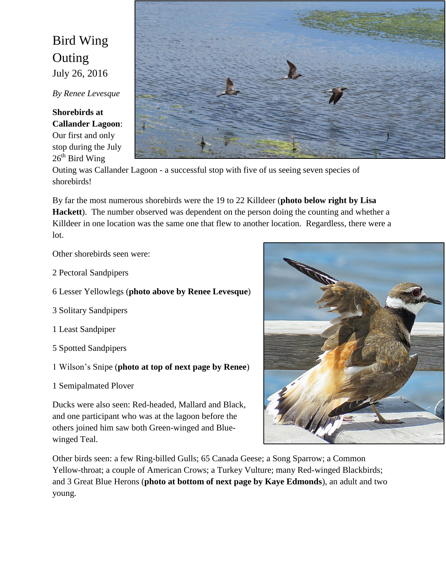## Bird Wing Outing July 26, 2016

*By Renee Levesque*

**Shorebirds at Callander Lagoon**:

Our first and only stop during the July  $26<sup>th</sup>$  Bird Wing



Outing was Callander Lagoon - a successful stop with five of us seeing seven species of shorebirds!

By far the most numerous shorebirds were the 19 to 22 Killdeer (**photo below right by Lisa Hackett**). The number observed was dependent on the person doing the counting and whether a Killdeer in one location was the same one that flew to another location. Regardless, there were a lot.

Other shorebirds seen were:

- 2 Pectoral Sandpipers
- 6 Lesser Yellowlegs (**photo above by Renee Levesque**)
- 3 Solitary Sandpipers
- 1 Least Sandpiper
- 5 Spotted Sandpipers
- 1 Wilson's Snipe (**photo at top of next page by Renee**)
- 1 Semipalmated Plover

Ducks were also seen: Red-headed, Mallard and Black, and one participant who was at the lagoon before the others joined him saw both Green-winged and Bluewinged Teal.



Other birds seen: a few Ring-billed Gulls; 65 Canada Geese; a Song Sparrow; a Common Yellow-throat; a couple of American Crows; a Turkey Vulture; many Red-winged Blackbirds; and 3 Great Blue Herons (**photo at bottom of next page by Kaye Edmonds**), an adult and two young.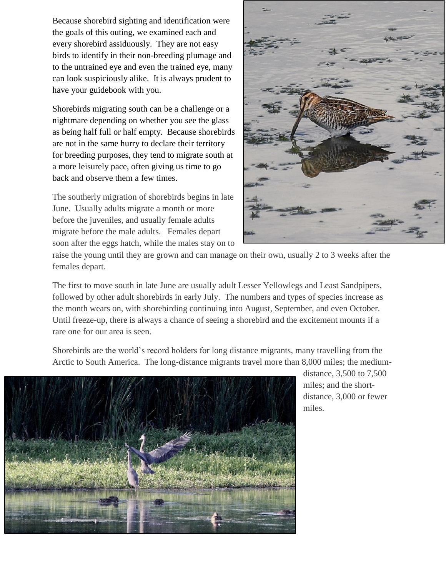Because shorebird sighting and identification were the goals of this outing, we examined each and every shorebird assiduously. They are not easy birds to identify in their non-breeding plumage and to the untrained eye and even the trained eye, many can look suspiciously alike. It is always prudent to have your guidebook with you.

Shorebirds migrating south can be a challenge or a nightmare depending on whether you see the glass as being half full or half empty. Because shorebirds are not in the same hurry to declare their territory for breeding purposes, they tend to migrate south at a more leisurely pace, often giving us time to go back and observe them a few times.

The southerly migration of shorebirds begins in late June. Usually adults migrate a month or more before the juveniles, and usually female adults migrate before the male adults. Females depart soon after the eggs hatch, while the males stay on to



raise the young until they are grown and can manage on their own, usually 2 to 3 weeks after the females depart.

The first to move south in late June are usually adult Lesser Yellowlegs and Least Sandpipers, followed by other adult shorebirds in early July. The numbers and types of species increase as the month wears on, with shorebirding continuing into August, September, and even October. Until freeze-up, there is always a chance of seeing a shorebird and the excitement mounts if a rare one for our area is seen.

Shorebirds are the world's record holders for long distance migrants, many travelling from the Arctic to South America. The long-distance migrants travel more than 8,000 miles; the medium-



distance, 3,500 to 7,500 miles; and the shortdistance, 3,000 or fewer miles.